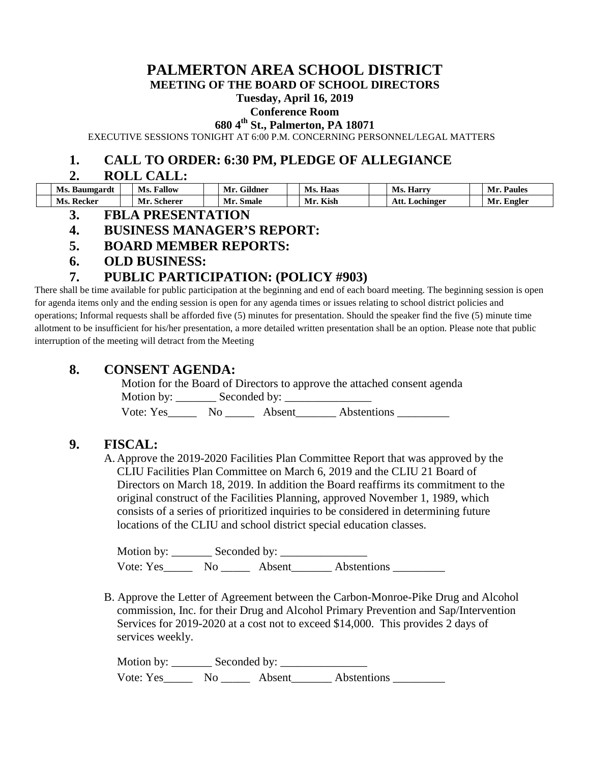# **PALMERTON AREA SCHOOL DISTRICT**

**MEETING OF THE BOARD OF SCHOOL DIRECTORS**

#### **Tuesday, April 16, 2019**

#### **Conference Room**

**680 4th St., Palmerton, PA 18071**

EXECUTIVE SESSIONS TONIGHT AT 6:00 P.M. CONCERNING PERSONNEL/LEGAL MATTERS

### **1. CALL TO ORDER: 6:30 PM, PLEDGE OF ALLEGIANCE**

#### **2. ROLL CALL:**

| - -<br>Ms. Baumgardt | Fallow<br>Ms.       | <b>OUI</b><br>Gildner<br>Mr. | Ms. Haas   | <b>Harry</b><br>VIS. | Paules<br>Mı  |
|----------------------|---------------------|------------------------------|------------|----------------------|---------------|
| Ms.<br>Recker        | --<br>Scherer<br>Mr | Smale<br>Mr.                 | Kish<br>Mı | Att.<br>Lochinger    | Engler<br>Mr. |

**3. FBLA PRESENTATION**

## **4. BUSINESS MANAGER'S REPORT:**

- **5. BOARD MEMBER REPORTS:**
- **6. OLD BUSINESS:**

# **7. PUBLIC PARTICIPATION: (POLICY #903)**

There shall be time available for public participation at the beginning and end of each board meeting. The beginning session is open for agenda items only and the ending session is open for any agenda times or issues relating to school district policies and operations; Informal requests shall be afforded five (5) minutes for presentation. Should the speaker find the five (5) minute time allotment to be insufficient for his/her presentation, a more detailed written presentation shall be an option. Please note that public interruption of the meeting will detract from the Meeting

## **8. CONSENT AGENDA:**

Motion for the Board of Directors to approve the attached consent agenda Motion by: \_\_\_\_\_\_\_ Seconded by: \_\_\_\_\_\_\_\_\_\_\_\_\_\_\_ Vote: Yes No Absent Abstentions

# **9. FISCAL:**

A. Approve the 2019-2020 Facilities Plan Committee Report that was approved by the CLIU Facilities Plan Committee on March 6, 2019 and the CLIU 21 Board of Directors on March 18, 2019. In addition the Board reaffirms its commitment to the original construct of the Facilities Planning, approved November 1, 1989, which consists of a series of prioritized inquiries to be considered in determining future locations of the CLIU and school district special education classes.

Motion by: Seconded by: Vote: Yes\_\_\_\_\_\_\_ No \_\_\_\_\_\_ Absent\_\_\_\_\_\_\_ Abstentions \_\_\_\_\_\_\_\_\_

B. Approve the Letter of Agreement between the Carbon-Monroe-Pike Drug and Alcohol commission, Inc. for their Drug and Alcohol Primary Prevention and Sap/Intervention Services for 2019-2020 at a cost not to exceed \$14,000. This provides 2 days of services weekly.

Motion by: Seconded by: Vote: Yes\_\_\_\_\_\_ No \_\_\_\_\_\_ Absent\_\_\_\_\_\_\_ Abstentions \_\_\_\_\_\_\_\_\_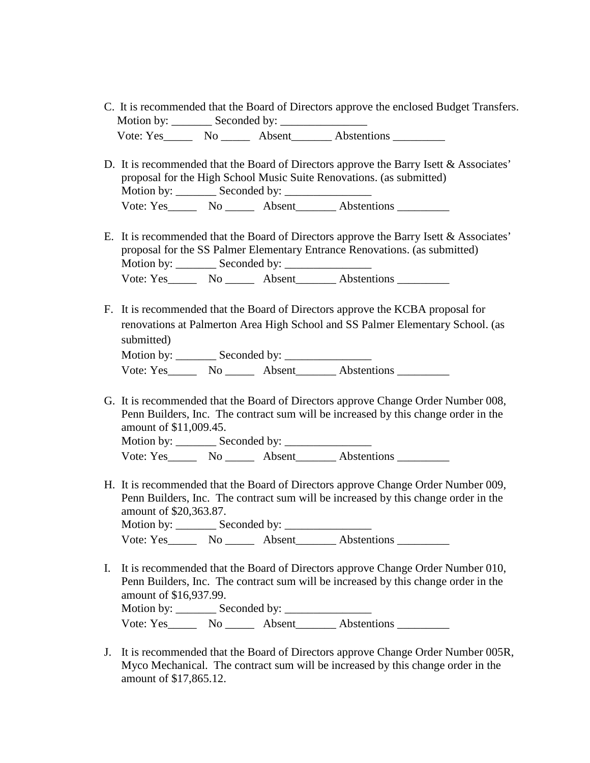- C. It is recommended that the Board of Directors approve the enclosed Budget Transfers. Motion by: \_\_\_\_\_\_\_ Seconded by: \_\_\_\_\_\_\_\_\_\_\_\_\_\_\_ Vote: Yes\_\_\_\_\_\_\_ No \_\_\_\_\_\_\_ Absent\_\_\_\_\_\_\_\_ Abstentions \_\_\_\_\_\_\_\_\_\_
- D. It is recommended that the Board of Directors approve the Barry Isett & Associates' proposal for the High School Music Suite Renovations. (as submitted) Motion by: Seconded by: Vote: Yes\_\_\_\_\_\_\_ No \_\_\_\_\_\_ Absent\_\_\_\_\_\_\_\_ Abstentions \_\_\_\_\_\_\_\_\_
- E. It is recommended that the Board of Directors approve the Barry Isett & Associates' proposal for the SS Palmer Elementary Entrance Renovations. (as submitted) Motion by: \_\_\_\_\_\_\_ Seconded by: \_\_\_\_\_\_\_\_\_\_\_\_\_\_\_ Vote: Yes\_\_\_\_\_\_\_ No \_\_\_\_\_\_ Absent\_\_\_\_\_\_\_ Abstentions \_\_\_\_\_\_\_\_\_
- F. It is recommended that the Board of Directors approve the KCBA proposal for renovations at Palmerton Area High School and SS Palmer Elementary School. (as submitted) Motion by: Seconded by: Vote: Yes\_\_\_\_\_\_\_ No \_\_\_\_\_\_ Absent\_\_\_\_\_\_\_ Abstentions \_\_\_\_\_\_\_\_\_
- G. It is recommended that the Board of Directors approve Change Order Number 008, Penn Builders, Inc. The contract sum will be increased by this change order in the amount of \$11,009.45.  $M$ otion by:  $\overline{\mathbf{S}}$  Seconded by:

| iviotion by. | Seconded by. |        |             |  |
|--------------|--------------|--------|-------------|--|
| Vote: Yes    | No.          | Absent | Abstentions |  |

H. It is recommended that the Board of Directors approve Change Order Number 009, Penn Builders, Inc. The contract sum will be increased by this change order in the amount of \$20,363.87.

Motion by: \_\_\_\_\_\_\_ Seconded by: \_\_\_\_\_\_\_\_\_\_\_\_\_\_\_ Vote: Yes\_\_\_\_\_ No \_\_\_\_\_ Absent\_\_\_\_\_\_\_ Abstentions \_\_\_\_\_\_\_\_\_

- I. It is recommended that the Board of Directors approve Change Order Number 010, Penn Builders, Inc. The contract sum will be increased by this change order in the amount of \$16,937.99. Motion by: \_\_\_\_\_\_\_ Seconded by: \_\_\_\_\_\_\_\_\_\_\_\_\_\_\_ Vote: Yes No Absent Abstentions No and Abstentions No Abstentions No Abstentions No Abstentions No Abstentions No
- J. It is recommended that the Board of Directors approve Change Order Number 005R, Myco Mechanical. The contract sum will be increased by this change order in the amount of \$17,865.12.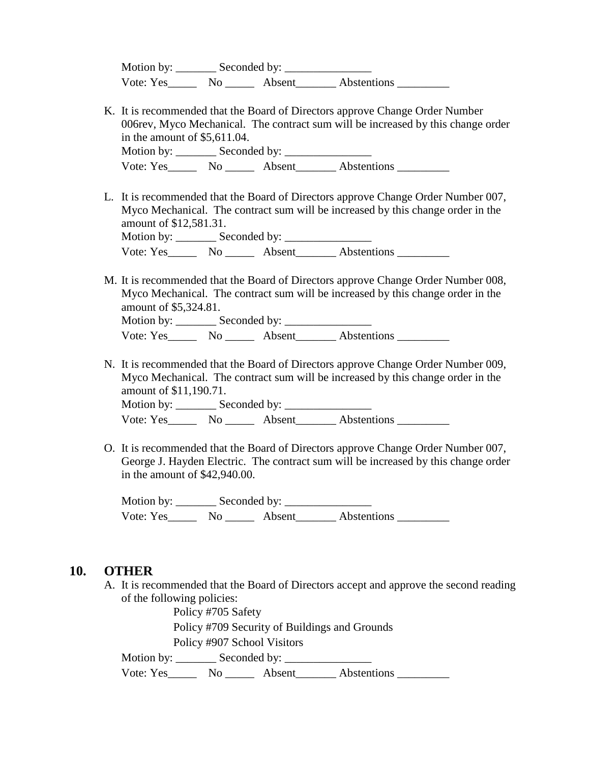| Motion by: | Seconded by: |        |             |
|------------|--------------|--------|-------------|
| Vote: Yes  | No           | Absent | Abstentions |

- K. It is recommended that the Board of Directors approve Change Order Number 006rev, Myco Mechanical. The contract sum will be increased by this change order in the amount of \$5,611.04. Motion by: \_\_\_\_\_\_\_ Seconded by: \_\_\_\_\_\_\_\_\_\_\_\_\_\_\_ Vote: Yes No Absent Abstentions
- L. It is recommended that the Board of Directors approve Change Order Number 007, Myco Mechanical. The contract sum will be increased by this change order in the amount of \$12,581.31. Motion by: \_\_\_\_\_\_\_ Seconded by: \_\_\_\_\_\_\_\_\_\_\_\_\_\_\_

Vote: Yes\_\_\_\_\_\_\_ No \_\_\_\_\_\_ Absent\_\_\_\_\_\_\_ Abstentions \_\_\_\_\_\_\_\_\_

M. It is recommended that the Board of Directors approve Change Order Number 008, Myco Mechanical. The contract sum will be increased by this change order in the amount of \$5,324.81.

Motion by: \_\_\_\_\_\_\_ Seconded by: \_\_\_\_\_\_\_\_\_\_\_\_\_\_\_ Vote: Yes\_\_\_\_\_\_\_ No \_\_\_\_\_\_\_ Absent\_\_\_\_\_\_\_\_ Abstentions \_\_\_\_\_\_\_\_\_\_

N. It is recommended that the Board of Directors approve Change Order Number 009, Myco Mechanical. The contract sum will be increased by this change order in the amount of \$11,190.71.

Motion by: \_\_\_\_\_\_\_ Seconded by: \_\_\_\_\_\_\_\_\_\_\_\_\_\_\_ Vote: Yes\_\_\_\_\_\_\_ No \_\_\_\_\_\_ Absent\_\_\_\_\_\_\_ Abstentions \_\_\_\_\_\_\_\_\_

O. It is recommended that the Board of Directors approve Change Order Number 007, George J. Hayden Electric. The contract sum will be increased by this change order in the amount of \$42,940.00.

Motion by: \_\_\_\_\_\_\_ Seconded by: \_\_\_\_\_\_\_\_\_\_\_\_\_\_\_ Vote: Yes\_\_\_\_\_\_\_ No \_\_\_\_\_\_\_ Absent\_\_\_\_\_\_\_\_ Abstentions \_\_\_\_\_\_\_\_\_

#### **10. OTHER**

A. It is recommended that the Board of Directors accept and approve the second reading of the following policies:

Policy #705 Safety Policy #709 Security of Buildings and Grounds Policy #907 School Visitors

Motion by: \_\_\_\_\_\_\_ Seconded by: \_\_\_\_\_\_\_\_\_\_\_\_\_\_\_

Vote: Yes\_\_\_\_\_\_\_ No \_\_\_\_\_\_ Absent\_\_\_\_\_\_\_ Abstentions \_\_\_\_\_\_\_\_\_\_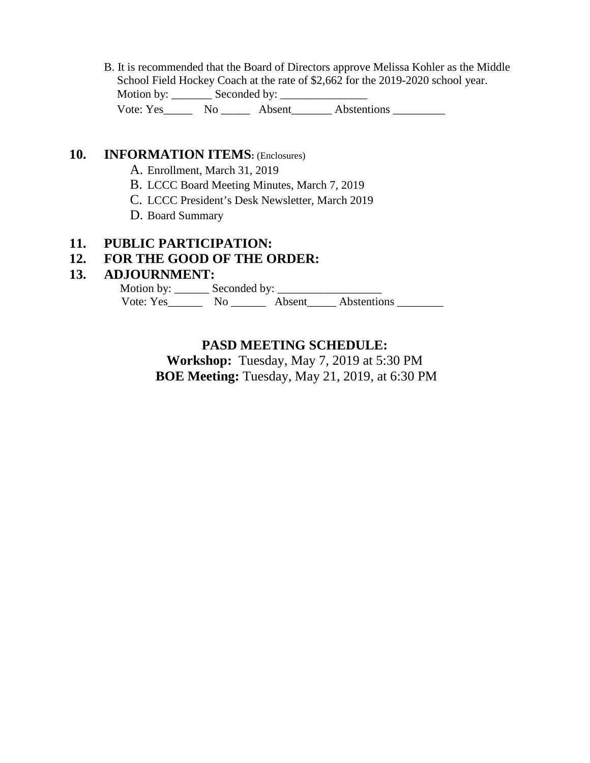B. It is recommended that the Board of Directors approve Melissa Kohler as the Middle School Field Hockey Coach at the rate of \$2,662 for the 2019-2020 school year. Motion by: \_\_\_\_\_\_\_ Seconded by: \_\_\_\_\_\_\_\_\_\_\_\_\_\_\_ Vote: Yes\_\_\_\_\_\_\_ No \_\_\_\_\_\_ Absent\_\_\_\_\_\_\_\_ Abstentions \_\_\_\_\_\_\_\_\_

### 10. **INFORMATION ITEMS:** (Enclosures)

- A. Enrollment, March 31, 2019
- B. LCCC Board Meeting Minutes, March 7, 2019
- C. LCCC President's Desk Newsletter, March 2019
- D. Board Summary

#### **11. PUBLIC PARTICIPATION:**

### **12. FOR THE GOOD OF THE ORDER:**

#### **13. ADJOURNMENT:**

 Motion by: \_\_\_\_\_\_ Seconded by: \_\_\_\_\_\_\_\_\_\_\_\_\_\_\_\_\_\_ Vote: Yes\_\_\_\_\_\_\_\_\_ No \_\_\_\_\_\_\_\_ Absent\_\_\_\_\_ Abstentions \_\_\_\_\_\_\_\_\_\_

# **PASD MEETING SCHEDULE:**

**Workshop:** Tuesday, May 7, 2019 at 5:30 PM **BOE Meeting:** Tuesday, May 21, 2019, at 6:30 PM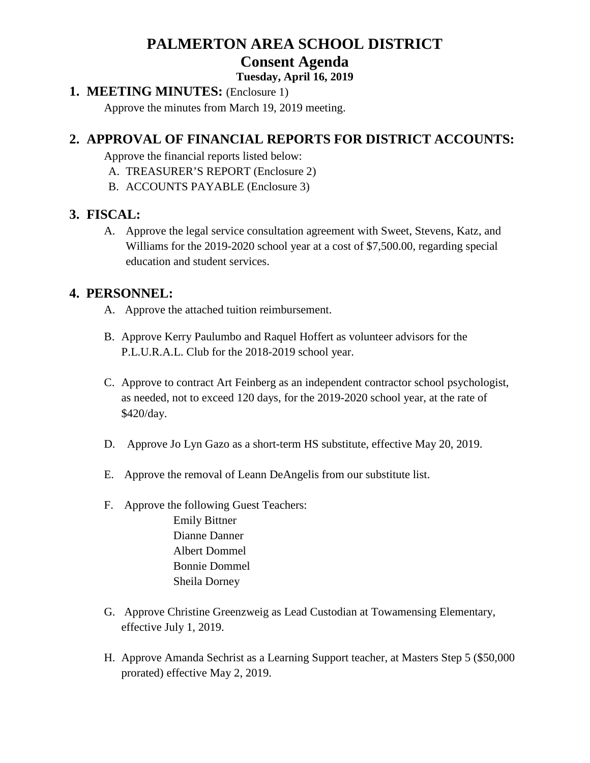# **PALMERTON AREA SCHOOL DISTRICT Consent Agenda**

#### **Tuesday, April 16, 2019**

#### **1. MEETING MINUTES:** (Enclosure 1)

Approve the minutes from March 19, 2019 meeting.

# **2. APPROVAL OF FINANCIAL REPORTS FOR DISTRICT ACCOUNTS:**

Approve the financial reports listed below:

- A. TREASURER'S REPORT (Enclosure 2)
- B. ACCOUNTS PAYABLE (Enclosure 3)

# **3. FISCAL:**

A. Approve the legal service consultation agreement with Sweet, Stevens, Katz, and Williams for the 2019-2020 school year at a cost of \$7,500.00, regarding special education and student services.

# **4. PERSONNEL:**

- A. Approve the attached tuition reimbursement.
- B. Approve Kerry Paulumbo and Raquel Hoffert as volunteer advisors for the P.L.U.R.A.L. Club for the 2018-2019 school year.
- C. Approve to contract Art Feinberg as an independent contractor school psychologist, as needed, not to exceed 120 days, for the 2019-2020 school year, at the rate of \$420/day.
- D. Approve Jo Lyn Gazo as a short-term HS substitute, effective May 20, 2019.
- E. Approve the removal of Leann DeAngelis from our substitute list.
- F. Approve the following Guest Teachers:
	- Emily Bittner Dianne Danner Albert Dommel Bonnie Dommel Sheila Dorney
- G. Approve Christine Greenzweig as Lead Custodian at Towamensing Elementary, effective July 1, 2019.
- H. Approve Amanda Sechrist as a Learning Support teacher, at Masters Step 5 (\$50,000 prorated) effective May 2, 2019.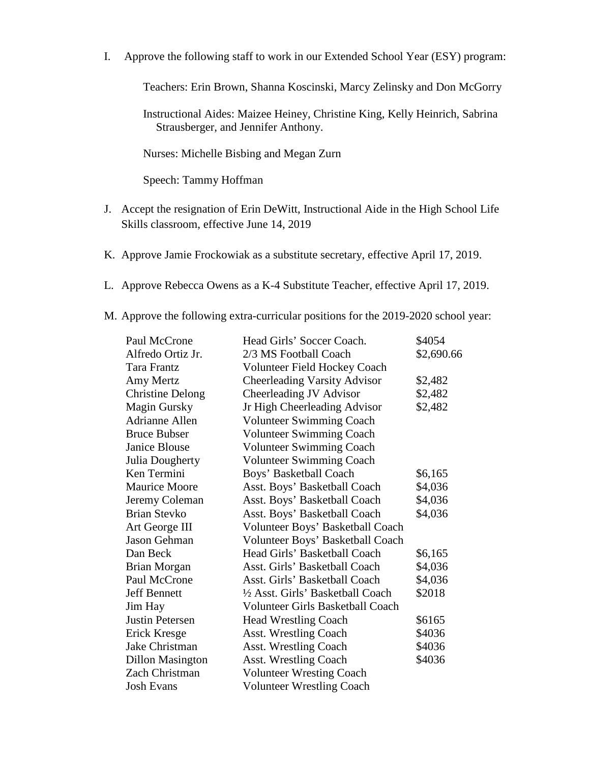I. Approve the following staff to work in our Extended School Year (ESY) program:

Teachers: Erin Brown, Shanna Koscinski, Marcy Zelinsky and Don McGorry

Instructional Aides: Maizee Heiney, Christine King, Kelly Heinrich, Sabrina Strausberger, and Jennifer Anthony.

Nurses: Michelle Bisbing and Megan Zurn

Speech: Tammy Hoffman

- J. Accept the resignation of Erin DeWitt, Instructional Aide in the High School Life Skills classroom, effective June 14, 2019
- K. Approve Jamie Frockowiak as a substitute secretary, effective April 17, 2019.
- L. Approve Rebecca Owens as a K-4 Substitute Teacher, effective April 17, 2019.
- M. Approve the following extra-curricular positions for the 2019-2020 school year:

| Paul McCrone            | Head Girls' Soccer Coach.               | \$4054     |
|-------------------------|-----------------------------------------|------------|
| Alfredo Ortiz Jr.       | 2/3 MS Football Coach                   | \$2,690.66 |
| Tara Frantz             | <b>Volunteer Field Hockey Coach</b>     |            |
| Amy Mertz               | <b>Cheerleading Varsity Advisor</b>     | \$2,482    |
| <b>Christine Delong</b> | Cheerleading JV Advisor                 | \$2,482    |
| <b>Magin Gursky</b>     | Jr High Cheerleading Advisor            | \$2,482    |
| <b>Adrianne Allen</b>   | <b>Volunteer Swimming Coach</b>         |            |
| <b>Bruce Bubser</b>     | <b>Volunteer Swimming Coach</b>         |            |
| Janice Blouse           | <b>Volunteer Swimming Coach</b>         |            |
| Julia Dougherty         | Volunteer Swimming Coach                |            |
| Ken Termini             | Boys' Basketball Coach                  | \$6,165    |
| <b>Maurice Moore</b>    | Asst. Boys' Basketball Coach            | \$4,036    |
| Jeremy Coleman          | Asst. Boys' Basketball Coach            | \$4,036    |
| <b>Brian Stevko</b>     | Asst. Boys' Basketball Coach            | \$4,036    |
| Art George III          | Volunteer Boys' Basketball Coach        |            |
| <b>Jason Gehman</b>     | Volunteer Boys' Basketball Coach        |            |
| Dan Beck                | Head Girls' Basketball Coach            | \$6,165    |
| <b>Brian Morgan</b>     | Asst. Girls' Basketball Coach           | \$4,036    |
| Paul McCrone            | Asst. Girls' Basketball Coach           | \$4,036    |
| <b>Jeff Bennett</b>     | 1/2 Asst. Girls' Basketball Coach       | \$2018     |
| Jim Hay                 | <b>Volunteer Girls Basketball Coach</b> |            |
| <b>Justin Petersen</b>  | <b>Head Wrestling Coach</b>             | \$6165     |
| Erick Kresge            | <b>Asst. Wrestling Coach</b>            | \$4036     |
| Jake Christman          | <b>Asst. Wrestling Coach</b>            | \$4036     |
| <b>Dillon Masington</b> | <b>Asst. Wrestling Coach</b>            | \$4036     |
| Zach Christman          | <b>Volunteer Wresting Coach</b>         |            |
| <b>Josh Evans</b>       | <b>Volunteer Wrestling Coach</b>        |            |